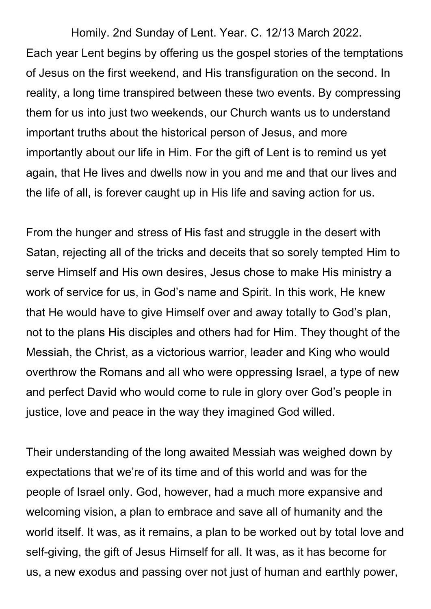Homily. 2nd Sunday of Lent. Year. C. 12/13 March 2022. Each year Lent begins by offering us the gospel stories of the temptations of Jesus on the first weekend, and His transfiguration on the second. In reality, a long time transpired between these two events. By compressing them for us into just two weekends, our Church wants us to understand important truths about the historical person of Jesus, and more importantly about our life in Him. For the gift of Lent is to remind us yet again, that He lives and dwells now in you and me and that our lives and the life of all, is forever caught up in His life and saving action for us.

From the hunger and stress of His fast and struggle in the desert with Satan, rejecting all of the tricks and deceits that so sorely tempted Him to serve Himself and His own desires, Jesus chose to make His ministry a work of service for us, in God's name and Spirit. In this work, He knew that He would have to give Himself over and away totally to God's plan, not to the plans His disciples and others had for Him. They thought of the Messiah, the Christ, as a victorious warrior, leader and King who would overthrow the Romans and all who were oppressing Israel, a type of new and perfect David who would come to rule in glory over God's people in justice, love and peace in the way they imagined God willed.

Their understanding of the long awaited Messiah was weighed down by expectations that we're of its time and of this world and was for the people of Israel only. God, however, had a much more expansive and welcoming vision, a plan to embrace and save all of humanity and the world itself. It was, as it remains, a plan to be worked out by total love and self-giving, the gift of Jesus Himself for all. It was, as it has become for us, a new exodus and passing over not just of human and earthly power,